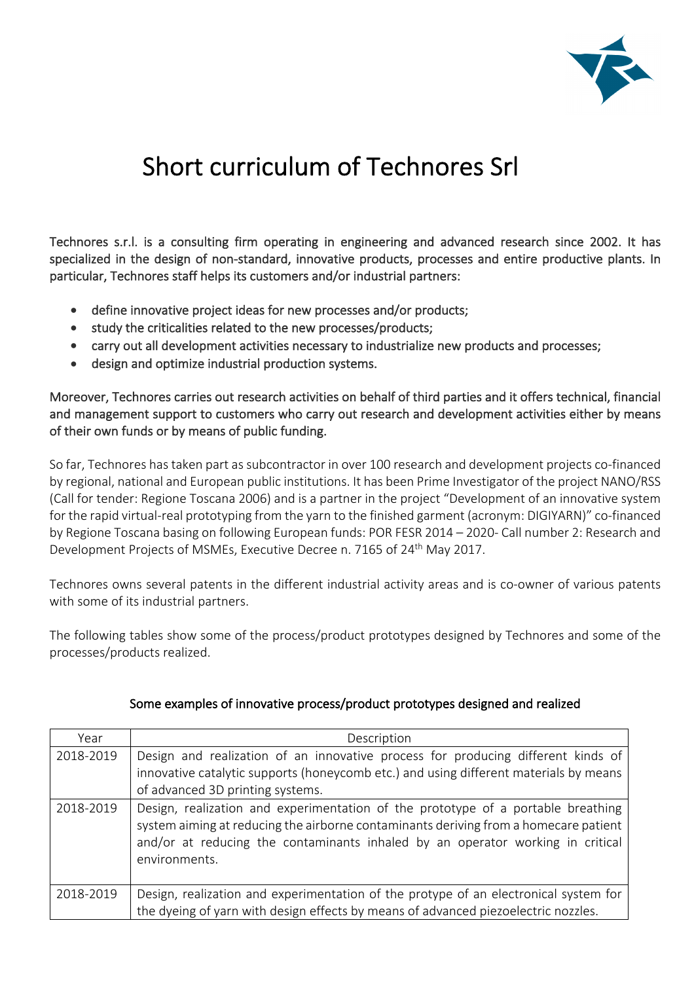

## Short curriculum of Technores Srl

Technores s.r.l. is a consulting firm operating in engineering and advanced research since 2002. It has specialized in the design of non-standard, innovative products, processes and entire productive plants. In particular, Technores staff helps its customers and/or industrial partners:

- define innovative project ideas for new processes and/or products;
- study the criticalities related to the new processes/products;
- carry out all development activities necessary to industrialize new products and processes;
- design and optimize industrial production systems.

Moreover, Technores carries out research activities on behalf of third parties and it offers technical, financial and management support to customers who carry out research and development activities either by means of their own funds or by means of public funding.

So far, Technores has taken part as subcontractor in over 100 research and development projects co-financed by regional, national and European public institutions. It has been Prime Investigator of the project NANO/RSS (Call for tender: Regione Toscana 2006) and is a partner in the project "Development of an innovative system for the rapid virtual-real prototyping from the yarn to the finished garment (acronym: DIGIYARN)" co-financed by Regione Toscana basing on following European funds: POR FESR 2014 – 2020- Call number 2: Research and Development Projects of MSMEs, Executive Decree n. 7165 of 24<sup>th</sup> May 2017.

Technores owns several patents in the different industrial activity areas and is co-owner of various patents with some of its industrial partners.

The following tables show some of the process/product prototypes designed by Technores and some of the processes/products realized.

| Year      | Description                                                                                                                                                                                                                                                                 |
|-----------|-----------------------------------------------------------------------------------------------------------------------------------------------------------------------------------------------------------------------------------------------------------------------------|
| 2018-2019 | Design and realization of an innovative process for producing different kinds of<br>innovative catalytic supports (honeycomb etc.) and using different materials by means<br>of advanced 3D printing systems.                                                               |
| 2018-2019 | Design, realization and experimentation of the prototype of a portable breathing<br>system aiming at reducing the airborne contaminants deriving from a homecare patient<br>and/or at reducing the contaminants inhaled by an operator working in critical<br>environments. |
| 2018-2019 | Design, realization and experimentation of the protype of an electronical system for<br>the dyeing of yarn with design effects by means of advanced piezoelectric nozzles.                                                                                                  |

## Some examples of innovative process/product prototypes designed and realized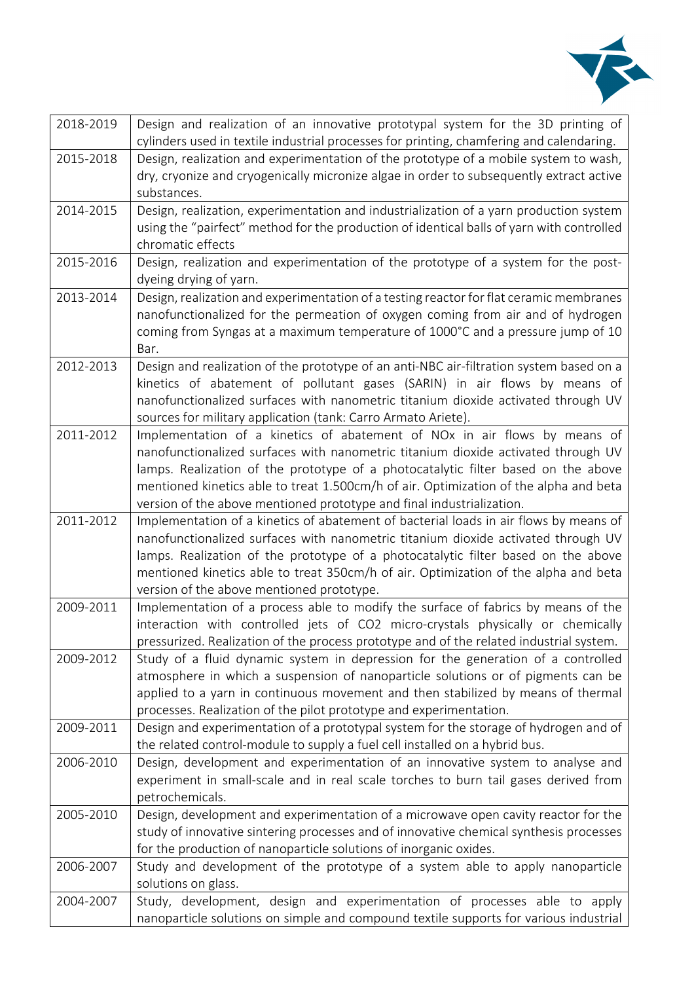

| 2018-2019 | Design and realization of an innovative prototypal system for the 3D printing of                |
|-----------|-------------------------------------------------------------------------------------------------|
|           | cylinders used in textile industrial processes for printing, chamfering and calendaring.        |
| 2015-2018 | Design, realization and experimentation of the prototype of a mobile system to wash,            |
|           | dry, cryonize and cryogenically micronize algae in order to subsequently extract active         |
|           | substances.                                                                                     |
| 2014-2015 | Design, realization, experimentation and industrialization of a yarn production system          |
|           | using the "pairfect" method for the production of identical balls of yarn with controlled       |
|           | chromatic effects                                                                               |
| 2015-2016 | Design, realization and experimentation of the prototype of a system for the post-              |
|           | dyeing drying of yarn.                                                                          |
| 2013-2014 | Design, realization and experimentation of a testing reactor for flat ceramic membranes         |
|           | nanofunctionalized for the permeation of oxygen coming from air and of hydrogen                 |
|           | coming from Syngas at a maximum temperature of 1000°C and a pressure jump of 10                 |
| 2012-2013 | Bar.<br>Design and realization of the prototype of an anti-NBC air-filtration system based on a |
|           | kinetics of abatement of pollutant gases (SARIN) in air flows by means of                       |
|           | nanofunctionalized surfaces with nanometric titanium dioxide activated through UV               |
|           | sources for military application (tank: Carro Armato Ariete).                                   |
| 2011-2012 | Implementation of a kinetics of abatement of NOx in air flows by means of                       |
|           | nanofunctionalized surfaces with nanometric titanium dioxide activated through UV               |
|           | lamps. Realization of the prototype of a photocatalytic filter based on the above               |
|           | mentioned kinetics able to treat 1.500cm/h of air. Optimization of the alpha and beta           |
|           | version of the above mentioned prototype and final industrialization.                           |
| 2011-2012 | Implementation of a kinetics of abatement of bacterial loads in air flows by means of           |
|           | nanofunctionalized surfaces with nanometric titanium dioxide activated through UV               |
|           | lamps. Realization of the prototype of a photocatalytic filter based on the above               |
|           | mentioned kinetics able to treat 350cm/h of air. Optimization of the alpha and beta             |
|           | version of the above mentioned prototype.                                                       |
| 2009-2011 | Implementation of a process able to modify the surface of fabrics by means of the               |
|           | interaction with controlled jets of CO2 micro-crystals physically or chemically                 |
|           | pressurized. Realization of the process prototype and of the related industrial system.         |
| 2009-2012 | Study of a fluid dynamic system in depression for the generation of a controlled                |
|           | atmosphere in which a suspension of nanoparticle solutions or of pigments can be                |
|           | applied to a yarn in continuous movement and then stabilized by means of thermal                |
|           | processes. Realization of the pilot prototype and experimentation.                              |
| 2009-2011 | Design and experimentation of a prototypal system for the storage of hydrogen and of            |
|           | the related control-module to supply a fuel cell installed on a hybrid bus.                     |
| 2006-2010 | Design, development and experimentation of an innovative system to analyse and                  |
|           | experiment in small-scale and in real scale torches to burn tail gases derived from             |
|           | petrochemicals.                                                                                 |
| 2005-2010 | Design, development and experimentation of a microwave open cavity reactor for the              |
|           | study of innovative sintering processes and of innovative chemical synthesis processes          |
|           | for the production of nanoparticle solutions of inorganic oxides.                               |
| 2006-2007 | Study and development of the prototype of a system able to apply nanoparticle                   |
|           | solutions on glass.                                                                             |
| 2004-2007 | Study, development, design and experimentation of processes able to apply                       |
|           | nanoparticle solutions on simple and compound textile supports for various industrial           |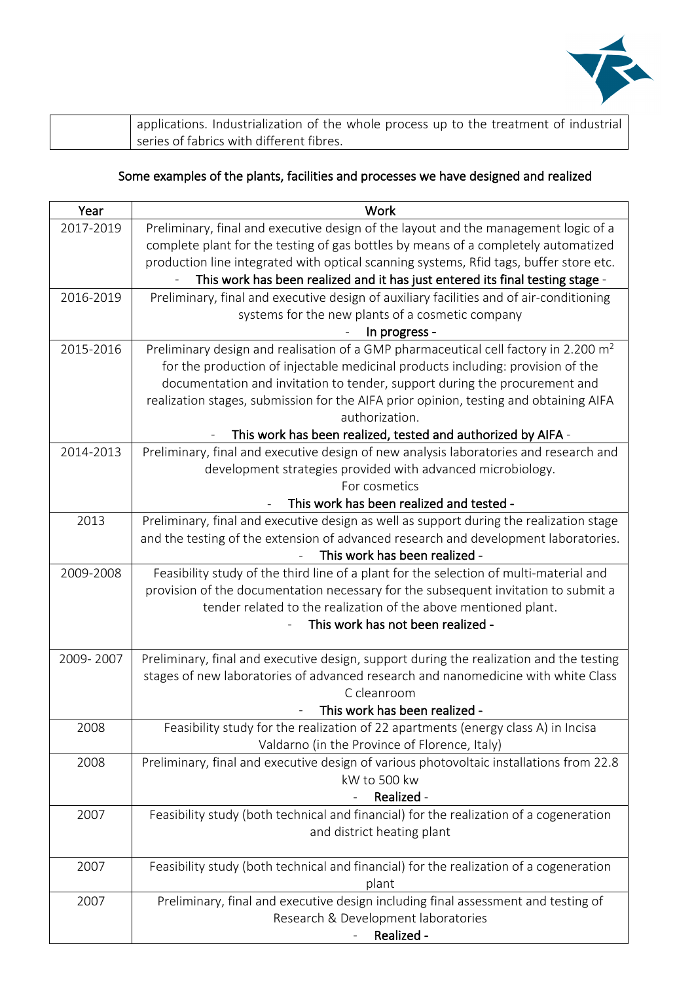

| applications. Industrialization of the whole process up to the treatment of industrial |
|----------------------------------------------------------------------------------------|
| series of fabrics with different fibres.                                               |

## Some examples of the plants, facilities and processes we have designed and realized

| Year      | Work                                                                                                                                                                         |
|-----------|------------------------------------------------------------------------------------------------------------------------------------------------------------------------------|
| 2017-2019 | Preliminary, final and executive design of the layout and the management logic of a                                                                                          |
|           | complete plant for the testing of gas bottles by means of a completely automatized                                                                                           |
|           | production line integrated with optical scanning systems, Rfid tags, buffer store etc.                                                                                       |
|           | This work has been realized and it has just entered its final testing stage -                                                                                                |
| 2016-2019 | Preliminary, final and executive design of auxiliary facilities and of air-conditioning                                                                                      |
|           | systems for the new plants of a cosmetic company                                                                                                                             |
|           | In progress -                                                                                                                                                                |
| 2015-2016 | Preliminary design and realisation of a GMP pharmaceutical cell factory in 2.200 m <sup>2</sup>                                                                              |
|           | for the production of injectable medicinal products including: provision of the                                                                                              |
|           | documentation and invitation to tender, support during the procurement and                                                                                                   |
|           | realization stages, submission for the AIFA prior opinion, testing and obtaining AIFA                                                                                        |
|           | authorization.                                                                                                                                                               |
|           | This work has been realized, tested and authorized by AIFA -                                                                                                                 |
| 2014-2013 | Preliminary, final and executive design of new analysis laboratories and research and                                                                                        |
|           | development strategies provided with advanced microbiology.                                                                                                                  |
|           | For cosmetics                                                                                                                                                                |
|           | This work has been realized and tested -                                                                                                                                     |
| 2013      | Preliminary, final and executive design as well as support during the realization stage                                                                                      |
|           | and the testing of the extension of advanced research and development laboratories.<br>This work has been realized -                                                         |
|           |                                                                                                                                                                              |
| 2009-2008 | Feasibility study of the third line of a plant for the selection of multi-material and<br>provision of the documentation necessary for the subsequent invitation to submit a |
|           | tender related to the realization of the above mentioned plant.                                                                                                              |
|           | This work has not been realized -                                                                                                                                            |
|           |                                                                                                                                                                              |
| 2009-2007 | Preliminary, final and executive design, support during the realization and the testing                                                                                      |
|           | stages of new laboratories of advanced research and nanomedicine with white Class                                                                                            |
|           | C cleanroom                                                                                                                                                                  |
|           | This work has been realized -                                                                                                                                                |
| 2008      | Feasibility study for the realization of 22 apartments (energy class A) in Incisa                                                                                            |
|           | Valdarno (in the Province of Florence, Italy)                                                                                                                                |
| 2008      | Preliminary, final and executive design of various photovoltaic installations from 22.8                                                                                      |
|           | kW to 500 kw                                                                                                                                                                 |
|           | Realized -                                                                                                                                                                   |
| 2007      | Feasibility study (both technical and financial) for the realization of a cogeneration                                                                                       |
|           | and district heating plant                                                                                                                                                   |
|           |                                                                                                                                                                              |
| 2007      | Feasibility study (both technical and financial) for the realization of a cogeneration                                                                                       |
|           | plant                                                                                                                                                                        |
| 2007      | Preliminary, final and executive design including final assessment and testing of                                                                                            |
|           | Research & Development laboratories                                                                                                                                          |
|           | Realized -                                                                                                                                                                   |